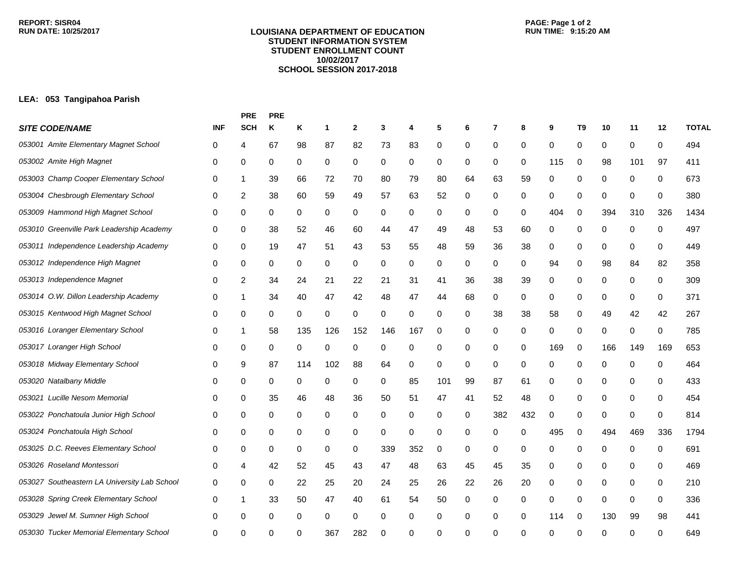#### **LOUISIANA DEPARTMENT OF EDUCATION STUDENT INFORMATION SYSTEM STUDENT ENROLLMENT COUNT 10/02/2017 SCHOOL SESSION 2017-2018**

# **PAGE: Page 1 of 2**

## **LEA: 053 Tangipahoa Parish**

|                                              |            | <b>PRE</b> | <b>PRE</b> |          |     |              |             |     |     |    |          |     |     |                |     |             |     |              |
|----------------------------------------------|------------|------------|------------|----------|-----|--------------|-------------|-----|-----|----|----------|-----|-----|----------------|-----|-------------|-----|--------------|
| <b>SITE CODE/NAME</b>                        | <b>INF</b> | <b>SCH</b> | Κ          | Κ        | 1   | $\mathbf{2}$ | 3           | 4   | 5   | 6  | 7        | 8   | 9   | T <sub>9</sub> | 10  | 11          | 12  | <b>TOTAL</b> |
| 053001 Amite Elementary Magnet School        | 0          | 4          | 67         | 98       | 87  | 82           | 73          | 83  | 0   | 0  | 0        | 0   | 0   | 0              | 0   | 0           | 0   | 494          |
| 053002 Amite High Magnet                     | 0          | 0          | 0          | 0        | 0   | 0            | 0           | 0   | 0   | 0  | 0        | 0   | 115 | 0              | 98  | 101         | 97  | 411          |
| 053003 Champ Cooper Elementary School        | 0          | 1          | 39         | 66       | 72  | 70           | 80          | 79  | 80  | 64 | 63       | 59  | 0   | 0              | 0   | 0           | 0   | 673          |
| 053004 Chesbrough Elementary School          | 0          | 2          | 38         | 60       | 59  | 49           | 57          | 63  | 52  | 0  | 0        | 0   | 0   | 0              | 0   | 0           | 0   | 380          |
| 053009 Hammond High Magnet School            | 0          | 0          | 0          | 0        | 0   | 0            | 0           | 0   | 0   | 0  | 0        | 0   | 404 | 0              | 394 | 310         | 326 | 1434         |
| 053010 Greenville Park Leadership Academy    | 0          | 0          | 38         | 52       | 46  | 60           | 44          | 47  | 49  | 48 | 53       | 60  | 0   | 0              | 0   | 0           | 0   | 497          |
| 053011 Independence Leadership Academy       | 0          | 0          | 19         | 47       | 51  | 43           | 53          | 55  | 48  | 59 | 36       | 38  | 0   | 0              | 0   | 0           | 0   | 449          |
| 053012 Independence High Magnet              | 0          | 0          | 0          | 0        | 0   | 0            | 0           | 0   | 0   | 0  | 0        | 0   | 94  | 0              | 98  | 84          | 82  | 358          |
| 053013 Independence Magnet                   | 0          | 2          | 34         | 24       | 21  | 22           | 21          | 31  | 41  | 36 | 38       | 39  | 0   | 0              | 0   | 0           | 0   | 309          |
| 053014 O.W. Dillon Leadership Academy        | 0          | 1          | 34         | 40       | 47  | 42           | 48          | 47  | 44  | 68 | 0        | 0   | 0   | 0              | 0   | 0           | 0   | 371          |
| 053015 Kentwood High Magnet School           | 0          | 0          | 0          | $\Omega$ | 0   | 0            | 0           | 0   | 0   | 0  | 38       | 38  | 58  | 0              | 49  | 42          | 42  | 267          |
| 053016 Loranger Elementary School            | 0          | 1          | 58         | 135      | 126 | 152          | 146         | 167 | 0   | 0  | 0        | 0   | 0   | 0              | 0   | 0           | 0   | 785          |
| 053017 Loranger High School                  | 0          | 0          | 0          | 0        | 0   | 0            | 0           | 0   | 0   | 0  | 0        | 0   | 169 | 0              | 166 | 149         | 169 | 653          |
| 053018 Midway Elementary School              | 0          | 9          | 87         | 114      | 102 | 88           | 64          | 0   | 0   | 0  | 0        | 0   | 0   | 0              | 0   | 0           | 0   | 464          |
| 053020 Natalbany Middle                      | 0          | 0          | 0          | 0        | 0   | 0            | 0           | 85  | 101 | 99 | 87       | 61  | 0   | 0              | 0   | 0           | 0   | 433          |
| 053021 Lucille Nesom Memorial                | 0          | 0          | 35         | 46       | 48  | 36           | 50          | 51  | 47  | 41 | 52       | 48  | 0   | 0              | 0   | 0           | 0   | 454          |
| 053022 Ponchatoula Junior High School        | 0          | 0          | 0          | 0        | 0   | 0            | 0           | 0   | 0   | 0  | 382      | 432 | 0   | 0              | 0   | 0           | 0   | 814          |
| 053024 Ponchatoula High School               | 0          | 0          | 0          | 0        | 0   | 0            | $\mathbf 0$ | 0   | 0   | 0  | 0        | 0   | 495 | 0              | 494 | 469         | 336 | 1794         |
| 053025 D.C. Reeves Elementary School         | 0          | 0          | 0          | 0        | 0   | 0            | 339         | 352 | 0   | 0  | 0        | 0   | 0   | 0              | 0   | 0           | 0   | 691          |
| 053026 Roseland Montessori                   | 0          | 4          | 42         | 52       | 45  | 43           | 47          | 48  | 63  | 45 | 45       | 35  | 0   | 0              | 0   | 0           | 0   | 469          |
| 053027 Southeastern LA University Lab School | 0          | 0          | 0          | 22       | 25  | 20           | 24          | 25  | 26  | 22 | 26       | 20  | 0   | 0              | 0   | 0           | 0   | 210          |
| 053028 Spring Creek Elementary School        | 0          | 1          | 33         | 50       | 47  | 40           | 61          | 54  | 50  | 0  | 0        | 0   | 0   | 0              | 0   | $\mathbf 0$ | 0   | 336          |
| 053029 Jewel M. Sumner High School           | 0          | 0          | 0          | 0        | 0   | 0            | 0           | 0   | 0   | 0  | 0        | 0   | 114 | 0              | 130 | 99          | 98  | 441          |
| 053030 Tucker Memorial Elementary School     | 0          | ∩          |            |          | 367 | 282          | ∩           | 0   | U   | ŋ  | $\Omega$ | ∩   | ∩   | $\Omega$       | ∩   | ∩           |     | 649          |